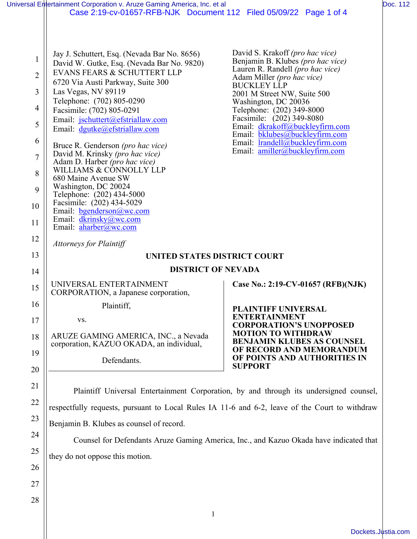|                | Universal Entertainment Corporation v. Aruze Gaming America, Inc. et al                        |                                                                                                |  |
|----------------|------------------------------------------------------------------------------------------------|------------------------------------------------------------------------------------------------|--|
|                | Case 2:19-cv-01657-RFB-NJK Document 112 Filed 05/09/22 Page 1 of 4                             |                                                                                                |  |
| $\mathbf 1$    | Jay J. Schuttert, Esq. (Nevada Bar No. 8656)<br>David W. Gutke, Esq. (Nevada Bar No. 9820)     | David S. Krakoff ( <i>pro hac vice</i> )<br>Benjamin B. Klubes (pro hac vice)                  |  |
| $\overline{2}$ | EVANS FEARS & SCHUTTERT LLP                                                                    | Lauren R. Randell (pro hac vice)<br>Adam Miller (pro hac vice)                                 |  |
|                | 6720 Via Austi Parkway, Suite 300                                                              | <b>BUCKLEY LLP</b>                                                                             |  |
| 3              | Las Vegas, NV 89119<br>Telephone: (702) 805-0290                                               | 2001 M Street NW, Suite 500<br>Washington, DC 20036                                            |  |
| 4              | Facsimile: (702) 805-0291                                                                      | Telephone: (202) 349-8000                                                                      |  |
| 5              | Email: jschuttert@efstriallaw.com<br>Email: dgutke@efstriallaw.com                             | Facsimile: (202) 349-8080<br>Email: dkrakoff@buckleyfirm.com<br>Email: bklubes@buckleyfirm.com |  |
| 6              | Bruce R. Genderson (pro hac vice)                                                              | Email: $lrandell@buckleyfirm.com$<br>Email: amiller@buckleyfirm.com                            |  |
| $\tau$         | David M. Krinsky (pro hac vice)<br>Adam D. Harber (pro hac vice)                               |                                                                                                |  |
| 8              | WILLIAMS & CONNOLLY LLP                                                                        |                                                                                                |  |
| 9              | 680 Maine Avenue SW<br>Washington, DC 20024                                                    |                                                                                                |  |
|                | Telephone: (202) 434-5000<br>Facsimile: (202) 434-5029                                         |                                                                                                |  |
| 10             | Email: bgenderson@wc.com                                                                       |                                                                                                |  |
| 11             | Email: dkrinsky@wc.com<br>Email: aharber@wc.com                                                |                                                                                                |  |
| 12             | <b>Attorneys for Plaintiff</b>                                                                 |                                                                                                |  |
| 13             | <b>UNITED STATES DISTRICT COURT</b>                                                            |                                                                                                |  |
| 14             | <b>DISTRICT OF NEVADA</b>                                                                      |                                                                                                |  |
| 15             | UNIVERSAL ENTERTAINMENT<br>CORPORATION, a Japanese corporation,                                | Case No.: 2:19-CV-01657 (RFB)(NJK)                                                             |  |
| 16             | Plaintiff,                                                                                     | <b>PLAINTIFF UNIVERSAL</b>                                                                     |  |
| 17             | VS.                                                                                            | <b>ENTERTAINMENT</b><br><b>CORPORATION'S UNOPPOSED</b>                                         |  |
| 18             | ARUZE GAMING AMERICA, INC., a Nevada<br>corporation, KAZUO OKADA, an individual,               | <b>MOTION TO WITHDRAW</b><br><b>BENJAMIN KLUBES AS COUNSEL</b><br>OF RECORD AND MEMORANDUM     |  |
| 19             | Defendants.                                                                                    | OF POINTS AND AUTHORITIES IN                                                                   |  |
| 20             |                                                                                                | <b>SUPPORT</b>                                                                                 |  |
| 21             |                                                                                                | Plaintiff Universal Entertainment Corporation, by and through its undersigned counsel,         |  |
| 22             | respectfully requests, pursuant to Local Rules IA 11-6 and 6-2, leave of the Court to withdraw |                                                                                                |  |
| 23             | Benjamin B. Klubes as counsel of record.                                                       |                                                                                                |  |
| 24             | Counsel for Defendants Aruze Gaming America, Inc., and Kazuo Okada have indicated that         |                                                                                                |  |
|                |                                                                                                |                                                                                                |  |
| 25             | they do not oppose this motion.                                                                |                                                                                                |  |

28

27

1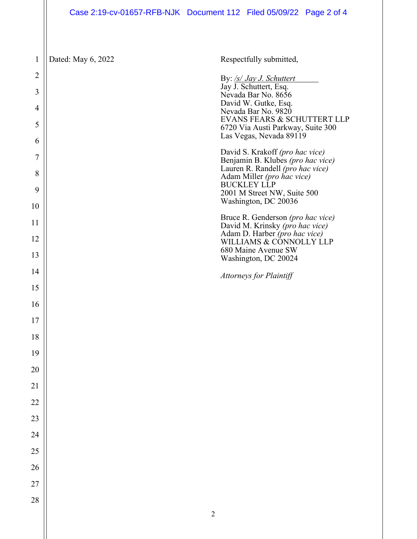## Case 2:19-cv-01657-RFB-NJK Document 112 Filed 05/09/22 Page 2 of 4

1

Dated: May 6, 2022 Respectfully submitted,

| $\overline{2}$<br>3<br>4<br>5<br>6 |            | By: /s/ Jay J. Schuttert<br>Jay J. Schuttert, Esq.<br>Nevada Bar No. 8656<br>David W. Gutke, Esq.<br>Nevada Bar No. 9820<br>EVANS FEARS & SCHUTTERT LLP<br>6720 Via Austi Parkway, Suite 300<br>Las Vegas, Nevada 89119 |
|------------------------------------|------------|-------------------------------------------------------------------------------------------------------------------------------------------------------------------------------------------------------------------------|
| 7                                  |            | David S. Krakoff (pro hac vice)                                                                                                                                                                                         |
| 8                                  |            | Benjamin B. Klubes (pro hac vice)<br>Lauren R. Randell (pro hac vice)<br>Adam Miller (pro hac vice)                                                                                                                     |
| 9                                  |            | <b>BUCKLEY LLP</b><br>2001 M Street NW, Suite 500                                                                                                                                                                       |
| 10                                 |            | Washington, DC 20036                                                                                                                                                                                                    |
| 11<br>12                           |            | Bruce R. Genderson (pro hac vice)<br>David M. Krinsky (pro hac vice)<br>Adam D. Harber (pro hac vice)                                                                                                                   |
| 13                                 |            | WILLIAMS & CONNOLLY LLP<br>680 Maine Avenue SW                                                                                                                                                                          |
| 14                                 |            | Washington, DC 20024                                                                                                                                                                                                    |
| 15                                 |            | <b>Attorneys for Plaintiff</b>                                                                                                                                                                                          |
| 16                                 |            |                                                                                                                                                                                                                         |
| 17                                 |            |                                                                                                                                                                                                                         |
| 18                                 |            |                                                                                                                                                                                                                         |
| 19                                 |            |                                                                                                                                                                                                                         |
| 20                                 |            |                                                                                                                                                                                                                         |
| 21                                 |            |                                                                                                                                                                                                                         |
|                                    |            |                                                                                                                                                                                                                         |
| 22                                 |            |                                                                                                                                                                                                                         |
| 23                                 |            |                                                                                                                                                                                                                         |
| 24                                 |            |                                                                                                                                                                                                                         |
| 25                                 |            |                                                                                                                                                                                                                         |
| 26                                 |            |                                                                                                                                                                                                                         |
| 27                                 |            |                                                                                                                                                                                                                         |
| 28                                 |            |                                                                                                                                                                                                                         |
|                                    | $\sqrt{2}$ |                                                                                                                                                                                                                         |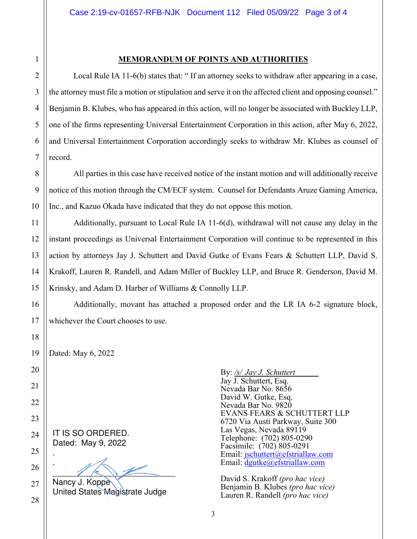28

1

## **MEMORANDUM OF POINTS AND AUTHORITIES**

Local Rule IA 11-6(b) states that: " If an attorney seeks to withdraw after appearing in a case, the attorney must file a motion or stipulation and serve it on the affected client and opposing counsel." Benjamin B. Klubes, who has appeared in this action, will no longer be associated with Buckley LLP, one of the firms representing Universal Entertainment Corporation in this action, after May 6, 2022, and Universal Entertainment Corporation accordingly seeks to withdraw Mr. Klubes as counsel of record.

All parties in this case have received notice of the instant motion and will additionally receive notice of this motion through the CM/ECF system. Counsel for Defendants Aruze Gaming America, Inc., and Kazuo Okada have indicated that they do not oppose this motion.

Additionally, pursuant to Local Rule IA 11-6(d), withdrawal will not cause any delay in the instant proceedings as Universal Entertainment Corporation will continue to be represented in this action by attorneys Jay J. Schuttert and David Gutke of Evans Fears & Schuttert LLP, David S. Krakoff, Lauren R. Randell, and Adam Miller of Buckley LLP, and Bruce R. Genderson, David M. Krinsky, and Adam D. Harber of Williams & Connolly LLP.

Additionally, movant has attached a proposed order and the LR IA 6-2 signature block, whichever the Court chooses to use.

Dated: May 6, 2022

IT IS SO ORDERED. Dated: May 9, 2022 .

.  $\mathscr{U}\subset\mathscr{V}$ Nancy J. Koppe

United States Magistrate Judge

By: */s/ Jay J. Schuttert*  Jay J. Schuttert, Esq. Nevada Bar No. 8656 David W. Gutke, Esq. Nevada Bar No. 9820 EVANS FEARS & SCHUTTERT LLP 6720 Via Austi Parkway, Suite 300 Las Vegas, Nevada 89119 Telephone: (702) 805-0290 Facsimile: (702) 805-0291 Email: jschuttert@efstriallaw.com Email: dgutke@efstriallaw.com

David S. Krakoff *(pro hac vice)*  Benjamin B. Klubes *(pro hac vice)*  Lauren R. Randell *(pro hac vice)*